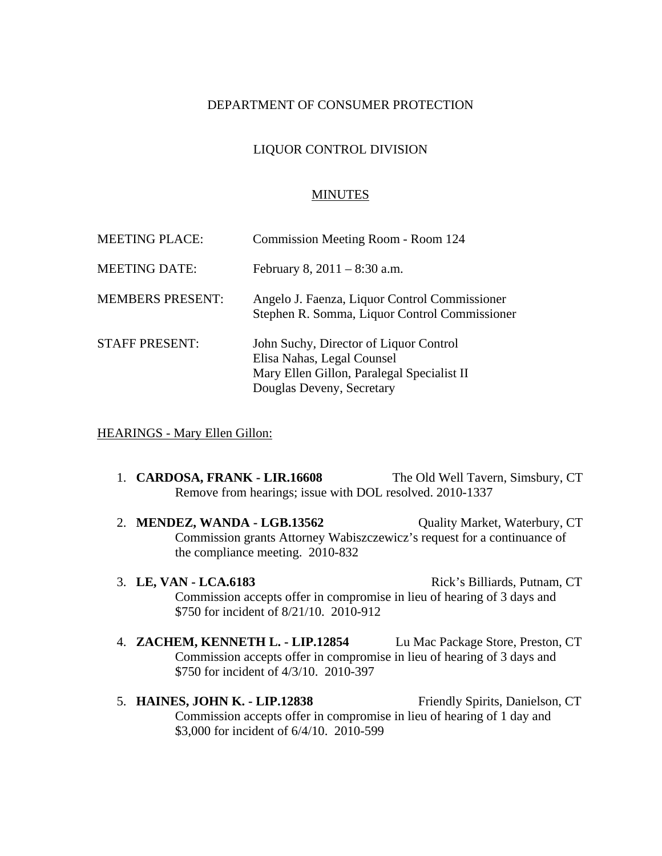### DEPARTMENT OF CONSUMER PROTECTION

## LIQUOR CONTROL DIVISION

### **MINUTES**

| <b>MEETING PLACE:</b>   | Commission Meeting Room - Room 124                                                                                                              |
|-------------------------|-------------------------------------------------------------------------------------------------------------------------------------------------|
| <b>MEETING DATE:</b>    | February 8, $2011 - 8:30$ a.m.                                                                                                                  |
| <b>MEMBERS PRESENT:</b> | Angelo J. Faenza, Liquor Control Commissioner<br>Stephen R. Somma, Liquor Control Commissioner                                                  |
| <b>STAFF PRESENT:</b>   | John Suchy, Director of Liquor Control<br>Elisa Nahas, Legal Counsel<br>Mary Ellen Gillon, Paralegal Specialist II<br>Douglas Deveny, Secretary |

#### HEARINGS - Mary Ellen Gillon:

- 1. **CARDOSA, FRANK LIR.16608** The Old Well Tavern, Simsbury, CT Remove from hearings; issue with DOL resolved. 2010-1337
- 2. **MENDEZ, WANDA LGB.13562** Quality Market, Waterbury, CT Commission grants Attorney Wabiszczewicz's request for a continuance of the compliance meeting. 2010-832
- 3. **LE, VAN LCA.6183** Rick's Billiards, Putnam, CT Commission accepts offer in compromise in lieu of hearing of 3 days and \$750 for incident of 8/21/10. 2010-912
- 4. **ZACHEM, KENNETH L. LIP.12854** Lu Mac Package Store, Preston, CT Commission accepts offer in compromise in lieu of hearing of 3 days and \$750 for incident of 4/3/10. 2010-397
- 5. **HAINES, JOHN K. LIP.12838** Friendly Spirits, Danielson, CT Commission accepts offer in compromise in lieu of hearing of 1 day and \$3,000 for incident of 6/4/10. 2010-599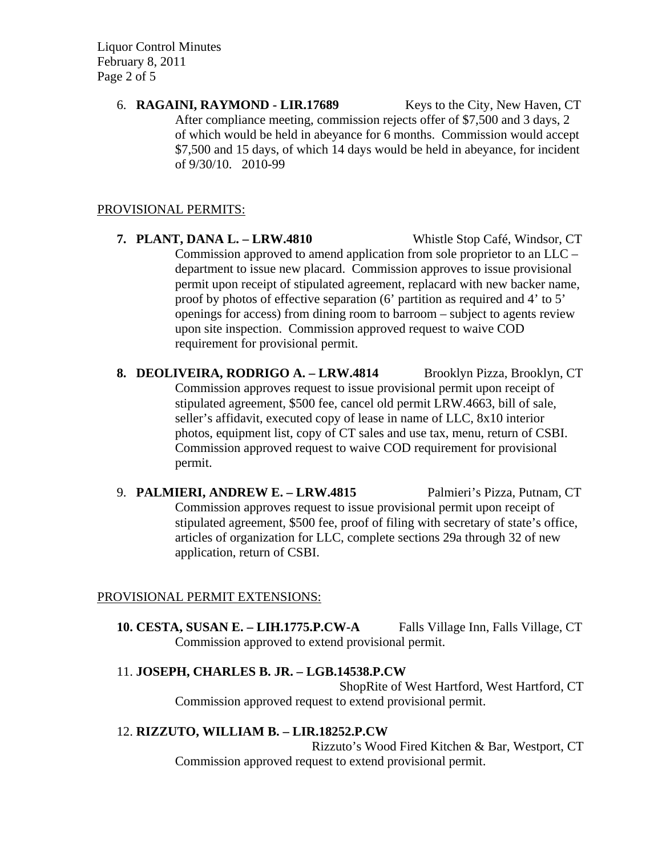Liquor Control Minutes February 8, 2011 Page 2 of 5

> 6. **RAGAINI, RAYMOND - LIR.17689** Keys to the City, New Haven, CT After compliance meeting, commission rejects offer of \$7,500 and 3 days, 2 of which would be held in abeyance for 6 months. Commission would accept \$7,500 and 15 days, of which 14 days would be held in abeyance, for incident of 9/30/10. 2010-99

### PROVISIONAL PERMITS:

- **7. PLANT, DANA L. LRW.4810** Whistle Stop Café, Windsor, CT Commission approved to amend application from sole proprietor to an LLC – department to issue new placard. Commission approves to issue provisional permit upon receipt of stipulated agreement, replacard with new backer name, proof by photos of effective separation (6' partition as required and 4' to 5' openings for access) from dining room to barroom – subject to agents review upon site inspection. Commission approved request to waive COD requirement for provisional permit.
- **8. DEOLIVEIRA, RODRIGO A. LRW.4814** Brooklyn Pizza, Brooklyn, CT Commission approves request to issue provisional permit upon receipt of stipulated agreement, \$500 fee, cancel old permit LRW.4663, bill of sale, seller's affidavit, executed copy of lease in name of LLC, 8x10 interior photos, equipment list, copy of CT sales and use tax, menu, return of CSBI. Commission approved request to waive COD requirement for provisional permit.
- 9. **PALMIERI, ANDREW E. LRW.4815** Palmieri's Pizza, Putnam, CT Commission approves request to issue provisional permit upon receipt of stipulated agreement, \$500 fee, proof of filing with secretary of state's office, articles of organization for LLC, complete sections 29a through 32 of new application, return of CSBI.

# PROVISIONAL PERMIT EXTENSIONS:

**10. CESTA, SUSAN E. – LIH.1775.P.CW-A** Falls Village Inn, Falls Village, CT Commission approved to extend provisional permit.

# 11. **JOSEPH, CHARLES B. JR. – LGB.14538.P.CW**

ShopRite of West Hartford, West Hartford, CT Commission approved request to extend provisional permit.

# 12. **RIZZUTO, WILLIAM B. – LIR.18252.P.CW**

Rizzuto's Wood Fired Kitchen & Bar, Westport, CT Commission approved request to extend provisional permit.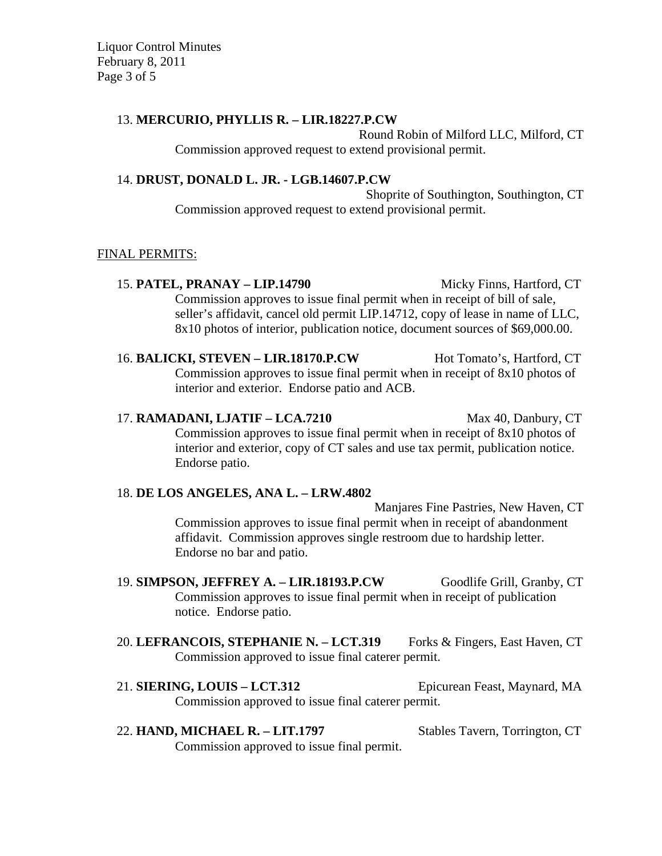Liquor Control Minutes February 8, 2011 Page 3 of 5

### 13. **MERCURIO, PHYLLIS R. – LIR.18227.P.CW**

Round Robin of Milford LLC, Milford, CT Commission approved request to extend provisional permit.

## 14. **DRUST, DONALD L. JR. - LGB.14607.P.CW**

Shoprite of Southington, Southington, CT Commission approved request to extend provisional permit.

#### FINAL PERMITS:

15. **PATEL, PRANAY – LIP.14790** Micky Finns, Hartford, CT Commission approves to issue final permit when in receipt of bill of sale, seller's affidavit, cancel old permit LIP.14712, copy of lease in name of LLC, 8x10 photos of interior, publication notice, document sources of \$69,000.00.

16. **BALICKI, STEVEN – LIR.18170.P.CW** Hot Tomato's, Hartford, CT Commission approves to issue final permit when in receipt of 8x10 photos of interior and exterior. Endorse patio and ACB.

17. **RAMADANI, LJATIF – LCA.7210** Max 40, Danbury, CT Commission approves to issue final permit when in receipt of 8x10 photos of interior and exterior, copy of CT sales and use tax permit, publication notice. Endorse patio.

#### 18. **DE LOS ANGELES, ANA L. – LRW.4802**

Manjares Fine Pastries, New Haven, CT Commission approves to issue final permit when in receipt of abandonment affidavit. Commission approves single restroom due to hardship letter. Endorse no bar and patio.

- 19. **SIMPSON, JEFFREY A. LIR.18193.P.CW** Goodlife Grill, Granby, CT Commission approves to issue final permit when in receipt of publication notice. Endorse patio.
- 20. LEFRANCOIS, STEPHANIE N. LCT.319 Forks & Fingers, East Haven, CT Commission approved to issue final caterer permit.

21. **SIERING, LOUIS – LCT.312** Epicurean Feast, Maynard, MA Commission approved to issue final caterer permit.

22. **HAND, MICHAEL R. – LIT.1797** Stables Tavern, Torrington, CT Commission approved to issue final permit.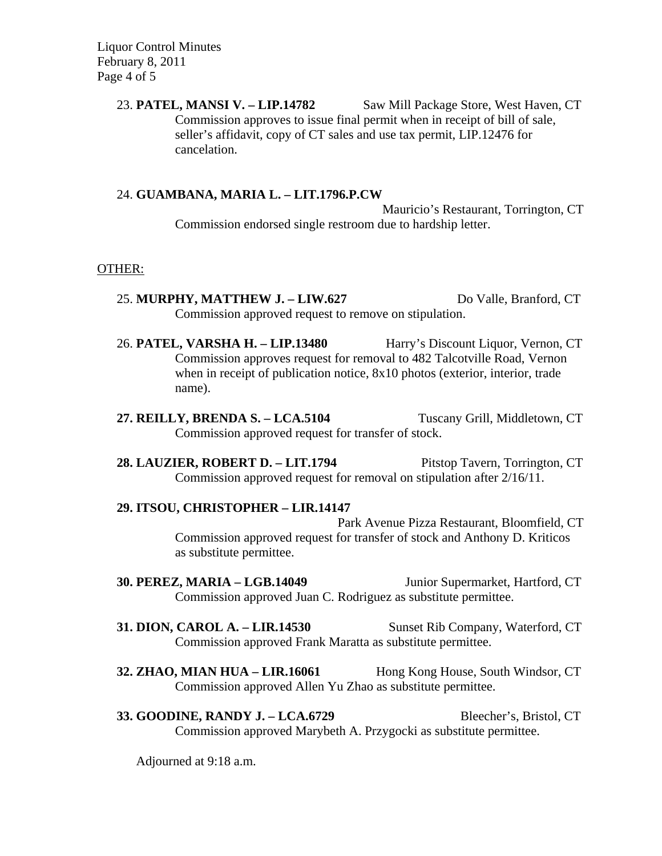Liquor Control Minutes February 8, 2011 Page 4 of 5

> 23. **PATEL, MANSI V. – LIP.14782** Saw Mill Package Store, West Haven, CT Commission approves to issue final permit when in receipt of bill of sale, seller's affidavit, copy of CT sales and use tax permit, LIP.12476 for cancelation.

#### 24. **GUAMBANA, MARIA L. – LIT.1796.P.CW**

Mauricio's Restaurant, Torrington, CT Commission endorsed single restroom due to hardship letter.

#### OTHER:

- 25. **MURPHY, MATTHEW J. LIW.627** Do Valle, Branford, CT Commission approved request to remove on stipulation.
- 26. **PATEL, VARSHA H. LIP.13480** Harry's Discount Liquor, Vernon, CT Commission approves request for removal to 482 Talcotville Road, Vernon when in receipt of publication notice,  $8x10$  photos (exterior, interior, trade name).
- **27. REILLY, BRENDA S. LCA.5104** Tuscany Grill, Middletown, CT Commission approved request for transfer of stock.
- **28. LAUZIER, ROBERT D. LIT.1794** Pitstop Tavern, Torrington, CT Commission approved request for removal on stipulation after 2/16/11.

#### **29. ITSOU, CHRISTOPHER – LIR.14147**

Park Avenue Pizza Restaurant, Bloomfield, CT Commission approved request for transfer of stock and Anthony D. Kriticos as substitute permittee.

- **30. PEREZ, MARIA LGB.14049** Junior Supermarket, Hartford, CT Commission approved Juan C. Rodriguez as substitute permittee.
- **31. DION, CAROL A. LIR.14530** Sunset Rib Company, Waterford, CT Commission approved Frank Maratta as substitute permittee.
- **32. ZHAO, MIAN HUA LIR.16061** Hong Kong House, South Windsor, CT Commission approved Allen Yu Zhao as substitute permittee.
- **33. GOODINE, RANDY J. LCA.6729** Bleecher's, Bristol, CT Commission approved Marybeth A. Przygocki as substitute permittee.

Adjourned at 9:18 a.m.